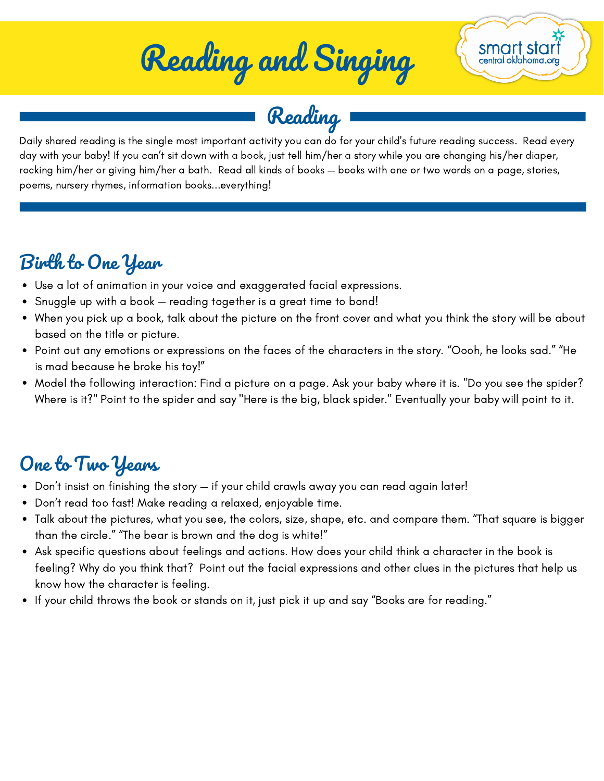# Reading and Singing



Reading

Daily shared reading is the single most important activity you can do for your child's future reading success. Read every day with your baby! If you can't sit down with a book, just tell him/her a story while you are changing his/her diaper, rocking him/her or giving him/her a bath. Read all kinds of books — books with one or two words on a page, stories, poems, nursery rhymes, information books...everything!

#### Birth to One Year

- Use a lot of animation in your voice and exaggerated facial expressions.
- Snuggle up with a book reading together is a great time to bond!
- When you pick up a book, talk about the picture on the front cover and what you think the story will be about based on the title or picture.
- Point out any emotions or expressions on the faces of the characters in the story. "Oooh, he looks sad." "He is mad because he broke his toy!"
- Model the following interaction: Find a picture on a page. Ask your baby where it is. "Do you see the spider? Where is it?" Point to the spider and say "Here is the big, black spider." Eventually your baby will point to it.

### One to Two Years

- Don't insist on finishing the story if your child crawls away you can read again later!
- Don't read too fast! Make reading a relaxed, enjoyable time.
- Talk about the pictures, what you see, the colors, size, shape, etc. and compare them. "That square is bigger than the circle." "The bear is brown and the dog is white!"
- Ask specific questions about feelings and actions. How does your child think a character in the book is feeling? Why do you think that? Point out the facial expressions and other clues in the pictures that help us know how the character is feeling.
- If your child throws the book or stands on it, just pick it up and say "Books are for reading."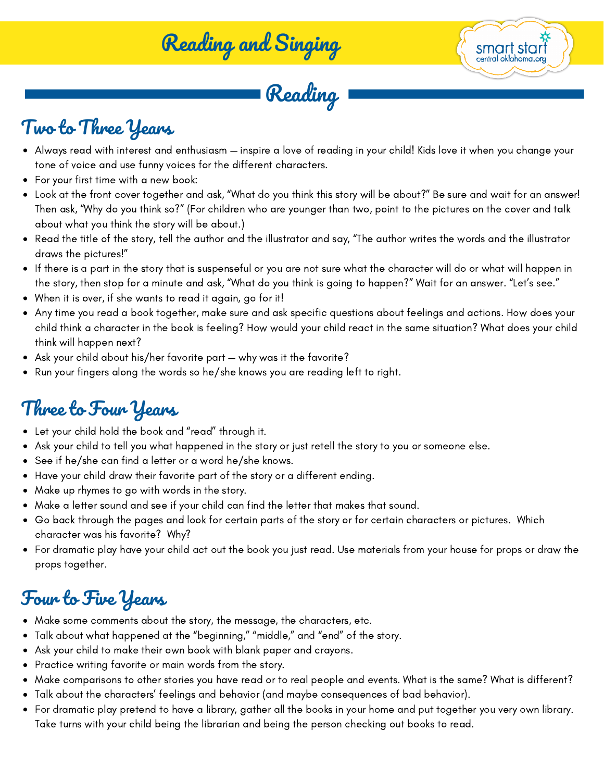Reading and Singing

Reading

smart star central oklahoma or

#### Two to Three Years

- Always read with interest and enthusiasm inspire a love of reading in your child! Kids love it when you change your tone of voice and use funny voices for the different characters.
- For your first time with a new book:
- Look at the front cover together and ask, "What do you think this story will be about?" Be sure and wait for an answer! Then ask, "Why do you think so?" (For children who are younger than two, point to the pictures on the cover and talk about what you think the story will be about.)
- Read the title of the story, tell the author and the illustrator and say, "The author writes the words and the illustrator draws the pictures!"
- If there is a part in the story that is suspenseful or you are not sure what the character will do or what will happen in the story, then stop for a minute and ask, "What do you think is going to happen?" Wait for an answer. "Let's see."
- When it is over, if she wants to read it again, go for it!
- Any time you read a book together, make sure and ask specific questions about feelings and actions. How does your child think a character in the book is feeling? How would your child react in the same situation? What does your child think will happen next?
- Ask your child about his/her favorite part why was it the favorite?
- Run your fingers along the words so he/she knows you are reading left to right.

#### Three to Four Years

- Let your child hold the book and "read" through it.
- Ask your child to tell you what happened in the story or just retell the story to you or someone else.
- See if he/she can find a letter or a word he/she knows.
- Have your child draw their favorite part of the story or a different ending.
- Make up rhymes to go with words in the story.
- Make a letter sound and see if your child can find the letter that makes that sound.
- Go back through the pages and look for certain parts of the story or for certain characters or pictures. Which character was his favorite? Why?
- For dramatic play have your child act out the book you just read. Use materials from your house for props or draw the props together.

#### Four to Five Years

- Make some comments about the story, the message, the characters, etc.
- Talk about what happened at the "beginning," "middle," and "end" of the story.
- Ask your child to make their own book with blank paper and crayons.
- Practice writing favorite or main words from the story.
- Make comparisons to other stories you have read or to real people and events. What is the same? What is different?
- Talk about the characters' feelings and behavior (and maybe consequences of bad behavior).
- For dramatic play pretend to have a library, gather all the books in your home and put together you very own library. Take turns with your child being the librarian and being the person checking out books to read.